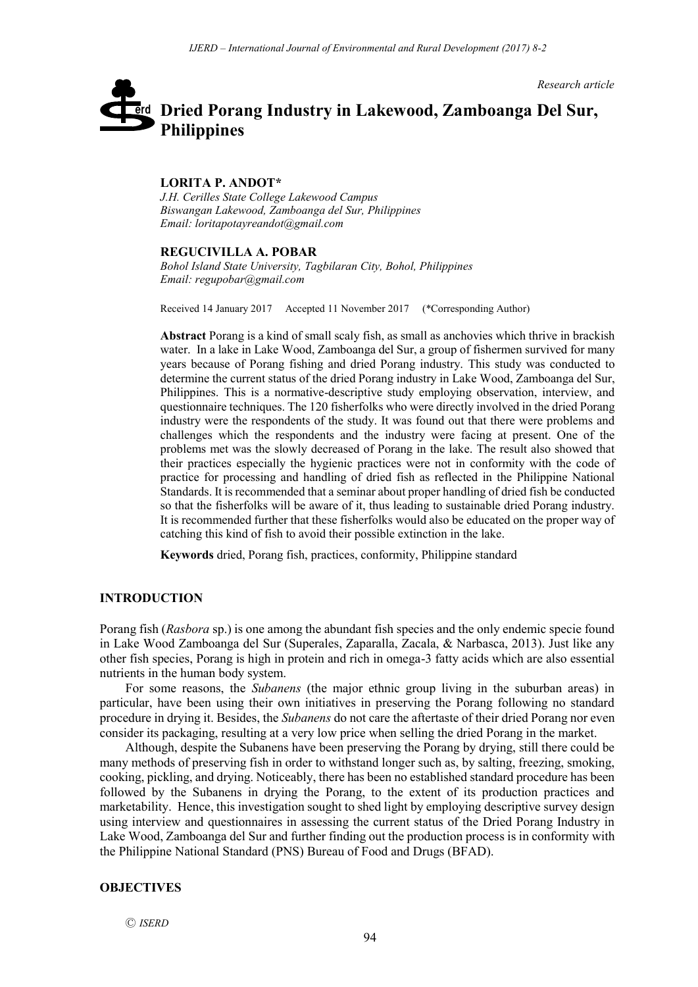*Research article*

# **Dried Porang Industry in Lakewood, Zamboanga Del Sur,**  erd **Philippines**

#### **LORITA P. ANDOT\***

*J.H. Cerilles State College Lakewood Campus Biswangan Lakewood, Zamboanga del Sur, Philippines Email: loritapotayreandot@gmail.com*

#### **REGUCIVILLA A. POBAR**

*Bohol Island State University, Tagbilaran City, Bohol, Philippines Email: regupobar@gmail.com*

Received 14 January 2017 Accepted 11 November 2017 (\*Corresponding Author)

**Abstract** Porang is a kind of small scaly fish, as small as anchovies which thrive in brackish water. In a lake in Lake Wood, Zamboanga del Sur, a group of fishermen survived for many years because of Porang fishing and dried Porang industry. This study was conducted to determine the current status of the dried Porang industry in Lake Wood, Zamboanga del Sur, Philippines. This is a normative-descriptive study employing observation, interview, and questionnaire techniques. The 120 fisherfolks who were directly involved in the dried Porang industry were the respondents of the study. It was found out that there were problems and challenges which the respondents and the industry were facing at present. One of the problems met was the slowly decreased of Porang in the lake. The result also showed that their practices especially the hygienic practices were not in conformity with the code of practice for processing and handling of dried fish as reflected in the Philippine National Standards. It is recommended that a seminar about proper handling of dried fish be conducted so that the fisherfolks will be aware of it, thus leading to sustainable dried Porang industry. It is recommended further that these fisherfolks would also be educated on the proper way of catching this kind of fish to avoid their possible extinction in the lake.

**Keywords** dried, Porang fish, practices, conformity, Philippine standard

#### **INTRODUCTION**

Porang fish (*Rasbora* sp.) is one among the abundant fish species and the only endemic specie found in Lake Wood Zamboanga del Sur (Superales, Zaparalla, Zacala, & Narbasca, 2013). Just like any other fish species, Porang is high in protein and rich in omega-3 fatty acids which are also essential nutrients in the human body system.

For some reasons, the *Subanens* (the major ethnic group living in the suburban areas) in particular, have been using their own initiatives in preserving the Porang following no standard procedure in drying it. Besides, the *Subanens* do not care the aftertaste of their dried Porang nor even consider its packaging, resulting at a very low price when selling the dried Porang in the market.

Although, despite the Subanens have been preserving the Porang by drying, still there could be many methods of preserving fish in order to withstand longer such as, by salting, freezing, smoking, cooking, pickling, and drying. Noticeably, there has been no established standard procedure has been followed by the Subanens in drying the Porang, to the extent of its production practices and marketability. Hence, this investigation sought to shed light by employing descriptive survey design using interview and questionnaires in assessing the current status of the Dried Porang Industry in Lake Wood, Zamboanga del Sur and further finding out the production process is in conformity with the Philippine National Standard (PNS) Bureau of Food and Drugs (BFAD).

#### **OBJECTIVES**

Ⓒ *ISERD*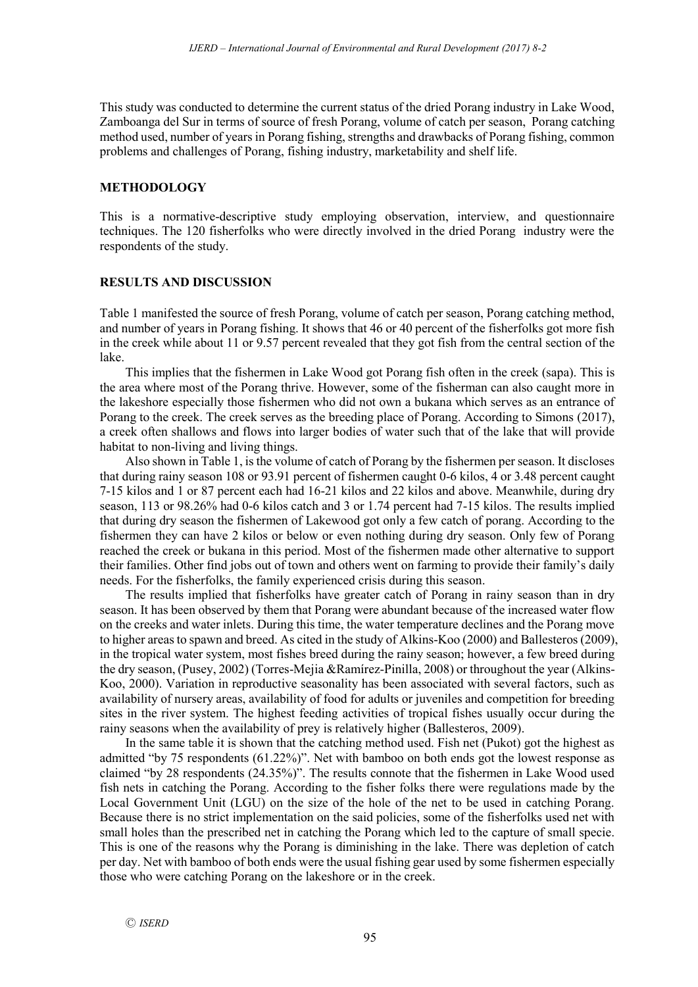This study was conducted to determine the current status of the dried Porang industry in Lake Wood, Zamboanga del Sur in terms of source of fresh Porang, volume of catch per season, Porang catching method used, number of years in Porang fishing, strengths and drawbacks of Porang fishing, common problems and challenges of Porang, fishing industry, marketability and shelf life.

## **METHODOLOGY**

This is a normative-descriptive study employing observation, interview, and questionnaire techniques. The 120 fisherfolks who were directly involved in the dried Porang industry were the respondents of the study.

## **RESULTS AND DISCUSSION**

Table 1 manifested the source of fresh Porang, volume of catch per season, Porang catching method, and number of years in Porang fishing. It shows that 46 or 40 percent of the fisherfolks got more fish in the creek while about 11 or 9.57 percent revealed that they got fish from the central section of the lake.

This implies that the fishermen in Lake Wood got Porang fish often in the creek (sapa). This is the area where most of the Porang thrive. However, some of the fisherman can also caught more in the lakeshore especially those fishermen who did not own a bukana which serves as an entrance of Porang to the creek. The creek serves as the breeding place of Porang. According to Simons (2017), a creek often shallows and flows into larger bodies of water such that of the lake that will provide habitat to non-living and living things.

Also shown in Table 1, is the volume of catch of Porang by the fishermen per season. It discloses that during rainy season 108 or 93.91 percent of fishermen caught 0-6 kilos, 4 or 3.48 percent caught 7-15 kilos and 1 or 87 percent each had 16-21 kilos and 22 kilos and above. Meanwhile, during dry season, 113 or 98.26% had 0-6 kilos catch and 3 or 1.74 percent had 7-15 kilos. The results implied that during dry season the fishermen of Lakewood got only a few catch of porang. According to the fishermen they can have 2 kilos or below or even nothing during dry season. Only few of Porang reached the creek or bukana in this period. Most of the fishermen made other alternative to support their families. Other find jobs out of town and others went on farming to provide their family's daily needs. For the fisherfolks, the family experienced crisis during this season.

The results implied that fisherfolks have greater catch of Porang in rainy season than in dry season. It has been observed by them that Porang were abundant because of the increased water flow on the creeks and water inlets. During this time, the water temperature declines and the Porang move to higher areas to spawn and breed. As cited in the study of Alkins-Koo (2000) and Ballesteros (2009), in the tropical water system, most fishes breed during the rainy season; however, a few breed during the dry season, (Pusey, 2002) (Torres-Mejia &Ramírez-Pinilla, 2008) or throughout the year (Alkins-Koo, 2000). Variation in reproductive seasonality has been associated with several factors, such as availability of nursery areas, availability of food for adults or juveniles and competition for breeding sites in the river system. The highest feeding activities of tropical fishes usually occur during the rainy seasons when the availability of prey is relatively higher (Ballesteros, 2009).

In the same table it is shown that the catching method used. Fish net (Pukot) got the highest as admitted "by 75 respondents (61.22%)". Net with bamboo on both ends got the lowest response as claimed "by 28 respondents (24.35%)". The results connote that the fishermen in Lake Wood used fish nets in catching the Porang. According to the fisher folks there were regulations made by the Local Government Unit (LGU) on the size of the hole of the net to be used in catching Porang. Because there is no strict implementation on the said policies, some of the fisherfolks used net with small holes than the prescribed net in catching the Porang which led to the capture of small specie. This is one of the reasons why the Porang is diminishing in the lake. There was depletion of catch per day. Net with bamboo of both ends were the usual fishing gear used by some fishermen especially those who were catching Porang on the lakeshore or in the creek.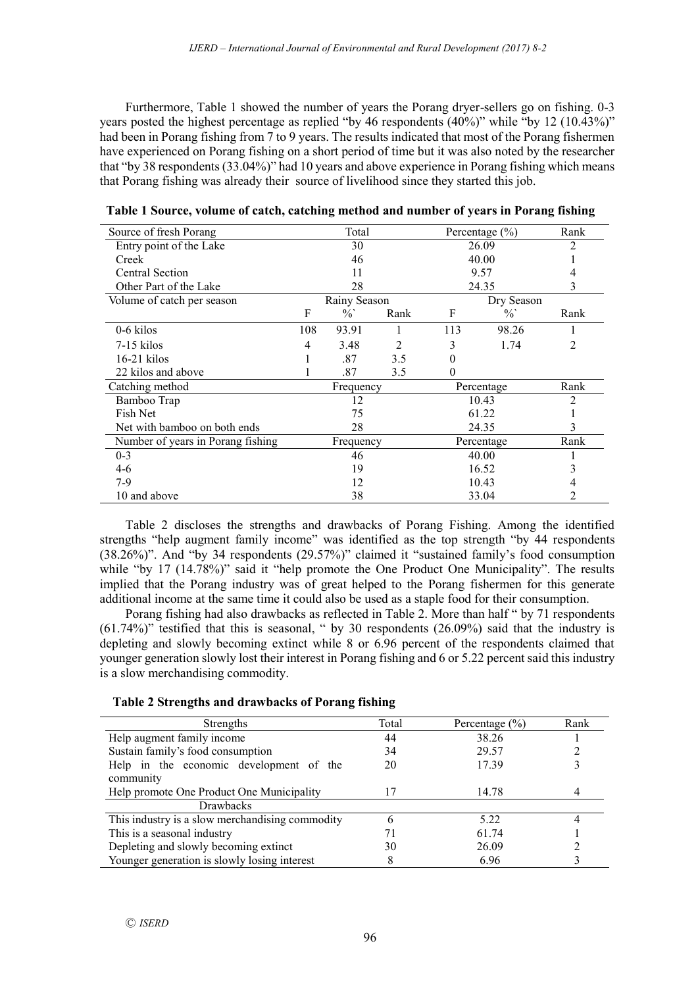Furthermore, Table 1 showed the number of years the Porang dryer-sellers go on fishing. 0-3 years posted the highest percentage as replied "by 46 respondents (40%)" while "by 12 (10.43%)" had been in Porang fishing from 7 to 9 years. The results indicated that most of the Porang fishermen have experienced on Porang fishing on a short period of time but it was also noted by the researcher that "by 38 respondents (33.04%)" had 10 years and above experience in Porang fishing which means that Porang fishing was already their source of livelihood since they started this job.

| Source of fresh Porang            | Total        |               | Percentage $(\% )$ |            | Rank          |      |
|-----------------------------------|--------------|---------------|--------------------|------------|---------------|------|
| Entry point of the Lake           | 30           |               |                    | 26.09      |               |      |
| Creek                             |              | 46            |                    | 40.00      |               |      |
| <b>Central Section</b>            |              | 11            |                    | 9.57       |               | 4    |
| Other Part of the Lake            | 28           |               |                    |            | 24.35         | 3    |
| Volume of catch per season        | Rainy Season |               |                    |            | Dry Season    |      |
|                                   | F            | $\frac{0}{0}$ | Rank               | F          | $\frac{0}{0}$ | Rank |
| $0-6$ kilos                       | 108          | 93.91         |                    | 113        | 98.26         |      |
| $7-15$ kilos                      | 4            | 3.48          | 2                  | 3          | 1.74          | 2    |
| $16-21$ kilos                     |              | .87           | 3.5                | 0          |               |      |
| 22 kilos and above                |              | .87           | 3.5                | 0          |               |      |
| Catching method                   | Frequency    |               |                    | Percentage |               | Rank |
| Bamboo Trap                       | 12           |               |                    | 10.43      | 2             |      |
| Fish Net                          | 75           |               |                    | 61.22      |               |      |
| Net with bamboo on both ends      | 28           |               |                    | 24.35      |               | 3    |
| Number of years in Porang fishing | Frequency    |               |                    | Percentage |               | Rank |
| $0 - 3$                           | 46           |               |                    | 40.00      |               |      |
| $4-6$                             | 19           |               |                    | 16.52      |               | 3    |
| 7-9                               | 12           |               |                    | 10.43      | 4             |      |
| 10 and above                      | 38           |               |                    | 33.04      | 2             |      |

| Table 1 Source, volume of catch, catching method and number of years in Porang fishing |  |  |  |
|----------------------------------------------------------------------------------------|--|--|--|
|----------------------------------------------------------------------------------------|--|--|--|

Table 2 discloses the strengths and drawbacks of Porang Fishing. Among the identified strengths "help augment family income" was identified as the top strength "by 44 respondents (38.26%)". And "by 34 respondents (29.57%)" claimed it "sustained family's food consumption while "by 17 (14.78%)" said it "help promote the One Product One Municipality". The results implied that the Porang industry was of great helped to the Porang fishermen for this generate additional income at the same time it could also be used as a staple food for their consumption.

Porang fishing had also drawbacks as reflected in Table 2. More than half " by 71 respondents (61.74%)" testified that this is seasonal, " by 30 respondents (26.09%) said that the industry is depleting and slowly becoming extinct while 8 or 6.96 percent of the respondents claimed that younger generation slowly lost their interest in Porang fishing and 6 or 5.22 percent said this industry is a slow merchandising commodity.

| Table 2 Strengths and drawbacks of Porang fishing |  |  |  |
|---------------------------------------------------|--|--|--|
|                                                   |  |  |  |

| Strengths                                       | Total | Percentage $(\% )$ | Rank |
|-------------------------------------------------|-------|--------------------|------|
| Help augment family income                      | 44    | 38.26              |      |
| Sustain family's food consumption               | 34    | 29.57              |      |
| Help in the economic development of the         | 20    | 17.39              |      |
| community                                       |       |                    |      |
| Help promote One Product One Municipality       | 17    | 14.78              |      |
| <b>Drawbacks</b>                                |       |                    |      |
| This industry is a slow merchandising commodity | h     | 5.22               |      |
| This is a seasonal industry                     | 71    | 61.74              |      |
| Depleting and slowly becoming extinct           | 30    | 26.09              |      |
| Younger generation is slowly losing interest    | 8     | 6.96               |      |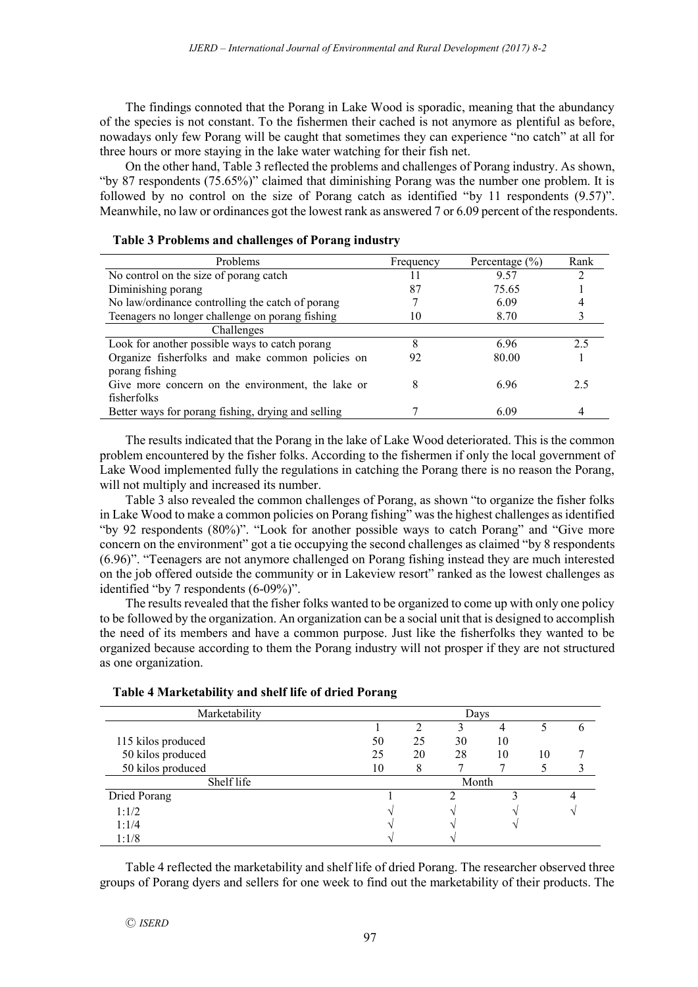The findings connoted that the Porang in Lake Wood is sporadic, meaning that the abundancy of the species is not constant. To the fishermen their cached is not anymore as plentiful as before, nowadays only few Porang will be caught that sometimes they can experience "no catch" at all for three hours or more staying in the lake water watching for their fish net.

On the other hand, Table 3 reflected the problems and challenges of Porang industry. As shown, "by 87 respondents (75.65%)" claimed that diminishing Porang was the number one problem. It is followed by no control on the size of Porang catch as identified "by 11 respondents  $(9.57)$ ". Meanwhile, no law or ordinances got the lowest rank as answered 7 or 6.09 percent of the respondents.

| Problems                                                           | Frequency | Percentage $(\% )$ | Rank |
|--------------------------------------------------------------------|-----------|--------------------|------|
| No control on the size of porang catch                             | 11        | 9.57               | 7    |
| Diminishing porang                                                 | 87        | 75.65              |      |
| No law/ordinance controlling the catch of porang                   |           | 6.09               |      |
| Teenagers no longer challenge on porang fishing                    | 10        | 8.70               |      |
| Challenges                                                         |           |                    |      |
| Look for another possible ways to catch porang                     | 8         | 696                | 2.5  |
| Organize fisherfolks and make common policies on<br>porang fishing | 92        | 80.00              |      |
| Give more concern on the environment, the lake or<br>fisherfolks   | 8         | 6.96               | 2.5  |
| Better ways for porang fishing, drying and selling                 |           | 6.09               |      |

#### **Table 3 Problems and challenges of Porang industry**

The results indicated that the Porang in the lake of Lake Wood deteriorated. This is the common problem encountered by the fisher folks. According to the fishermen if only the local government of Lake Wood implemented fully the regulations in catching the Porang there is no reason the Porang, will not multiply and increased its number.

Table 3 also revealed the common challenges of Porang, as shown "to organize the fisher folks in Lake Wood to make a common policies on Porang fishing" was the highest challenges as identified "by 92 respondents (80%)". "Look for another possible ways to catch Porang" and "Give more concern on the environment" got a tie occupying the second challenges as claimed "by 8 respondents (6.96)". "Teenagers are not anymore challenged on Porang fishing instead they are much interested on the job offered outside the community or in Lakeview resort" ranked as the lowest challenges as identified "by 7 respondents (6-09%)".

The results revealed that the fisher folks wanted to be organized to come up with only one policy to be followed by the organization. An organization can be a social unit that is designed to accomplish the need of its members and have a common purpose. Just like the fisherfolks they wanted to be organized because according to them the Porang industry will not prosper if they are not structured as one organization.

| Marketability      | Days  |    |    |    |    |  |
|--------------------|-------|----|----|----|----|--|
|                    |       | າ  |    |    |    |  |
| 115 kilos produced | 50    | 25 | 30 | 10 |    |  |
| 50 kilos produced  | 25    | 20 | 28 | 10 | 10 |  |
| 50 kilos produced  | 10    | ð  |    |    |    |  |
| Shelf life         | Month |    |    |    |    |  |
| Dried Porang       |       |    | ∍  |    |    |  |
| 1:1/2              |       |    |    |    |    |  |
| 1:1/4              |       |    |    |    |    |  |
| 1:1/8              |       |    |    |    |    |  |

#### **Table 4 Marketability and shelf life of dried Porang**

Table 4 reflected the marketability and shelf life of dried Porang. The researcher observed three groups of Porang dyers and sellers for one week to find out the marketability of their products. The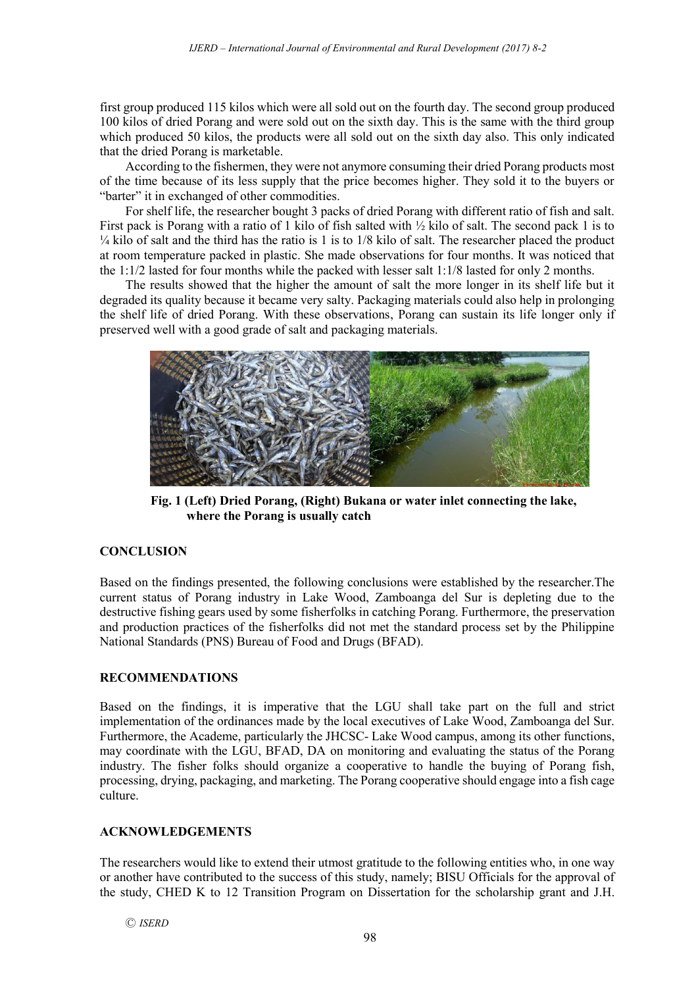first group produced 115 kilos which were all sold out on the fourth day. The second group produced 100 kilos of dried Porang and were sold out on the sixth day. This is the same with the third group which produced 50 kilos, the products were all sold out on the sixth day also. This only indicated that the dried Porang is marketable.

According to the fishermen, they were not anymore consuming their dried Porang products most of the time because of its less supply that the price becomes higher. They sold it to the buyers or "barter" it in exchanged of other commodities.

For shelf life, the researcher bought 3 packs of dried Porang with different ratio of fish and salt. First pack is Porang with a ratio of 1 kilo of fish salted with ½ kilo of salt. The second pack 1 is to  $\frac{1}{4}$  kilo of salt and the third has the ratio is 1 is to  $1/8$  kilo of salt. The researcher placed the product at room temperature packed in plastic. She made observations for four months. It was noticed that the 1:1/2 lasted for four months while the packed with lesser salt 1:1/8 lasted for only 2 months.

The results showed that the higher the amount of salt the more longer in its shelf life but it degraded its quality because it became very salty. Packaging materials could also help in prolonging the shelf life of dried Porang. With these observations, Porang can sustain its life longer only if preserved well with a good grade of salt and packaging materials.



**Fig. 1 (Left) Dried Porang, (Right) Bukana or water inlet connecting the lake, where the Porang is usually catch**

# **CONCLUSION**

Based on the findings presented, the following conclusions were established by the researcher.The current status of Porang industry in Lake Wood, Zamboanga del Sur is depleting due to the destructive fishing gears used by some fisherfolks in catching Porang. Furthermore, the preservation and production practices of the fisherfolks did not met the standard process set by the Philippine National Standards (PNS) Bureau of Food and Drugs (BFAD).

## **RECOMMENDATIONS**

Based on the findings, it is imperative that the LGU shall take part on the full and strict implementation of the ordinances made by the local executives of Lake Wood, Zamboanga del Sur. Furthermore, the Academe, particularly the JHCSC- Lake Wood campus, among its other functions, may coordinate with the LGU, BFAD, DA on monitoring and evaluating the status of the Porang industry. The fisher folks should organize a cooperative to handle the buying of Porang fish, processing, drying, packaging, and marketing. The Porang cooperative should engage into a fish cage culture.

## **ACKNOWLEDGEMENTS**

The researchers would like to extend their utmost gratitude to the following entities who, in one way or another have contributed to the success of this study, namely; BISU Officials for the approval of the study, CHED K to 12 Transition Program on Dissertation for the scholarship grant and J.H.